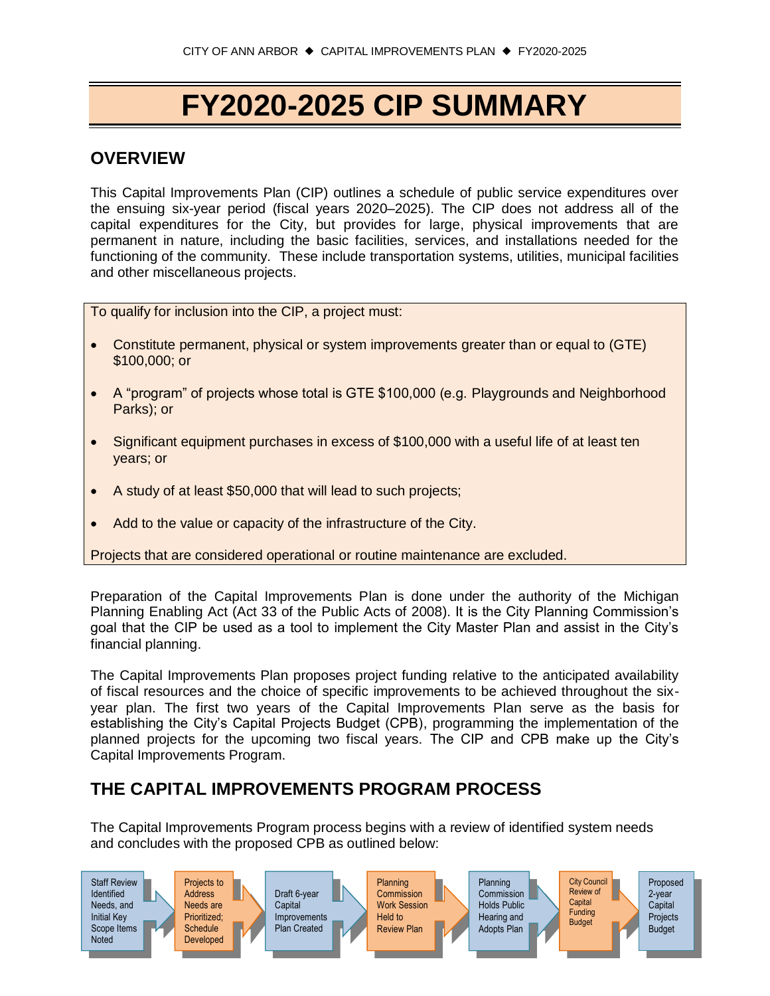# **FY2020-2025 CIP SUMMARY**

### **OVERVIEW**

This Capital Improvements Plan (CIP) outlines a schedule of public service expenditures over the ensuing six-year period (fiscal years 2020–2025). The CIP does not address all of the capital expenditures for the City, but provides for large, physical improvements that are permanent in nature, including the basic facilities, services, and installations needed for the functioning of the community. These include transportation systems, utilities, municipal facilities and other miscellaneous projects.

To qualify for inclusion into the CIP, a project must:

- Constitute permanent, physical or system improvements greater than or equal to (GTE) \$100,000; or
- A "program" of projects whose total is GTE \$100,000 (e.g. Playgrounds and Neighborhood Parks); or
- Significant equipment purchases in excess of \$100,000 with a useful life of at least ten years; or
- A study of at least \$50,000 that will lead to such projects;
- Add to the value or capacity of the infrastructure of the City.

Projects that are considered operational or routine maintenance are excluded.

Preparation of the Capital Improvements Plan is done under the authority of the Michigan Planning Enabling Act (Act 33 of the Public Acts of 2008). It is the City Planning Commission's goal that the CIP be used as a tool to implement the City Master Plan and assist in the City's financial planning.

The Capital Improvements Plan proposes project funding relative to the anticipated availability of fiscal resources and the choice of specific improvements to be achieved throughout the sixyear plan. The first two years of the Capital Improvements Plan serve as the basis for establishing the City's Capital Projects Budget (CPB), programming the implementation of the planned projects for the upcoming two fiscal years. The CIP and CPB make up the City's Capital Improvements Program.

#### **THE CAPITAL IMPROVEMENTS PROGRAM PROCESS**

The Capital Improvements Program process begins with a review of identified system needs and concludes with the proposed CPB as outlined below:

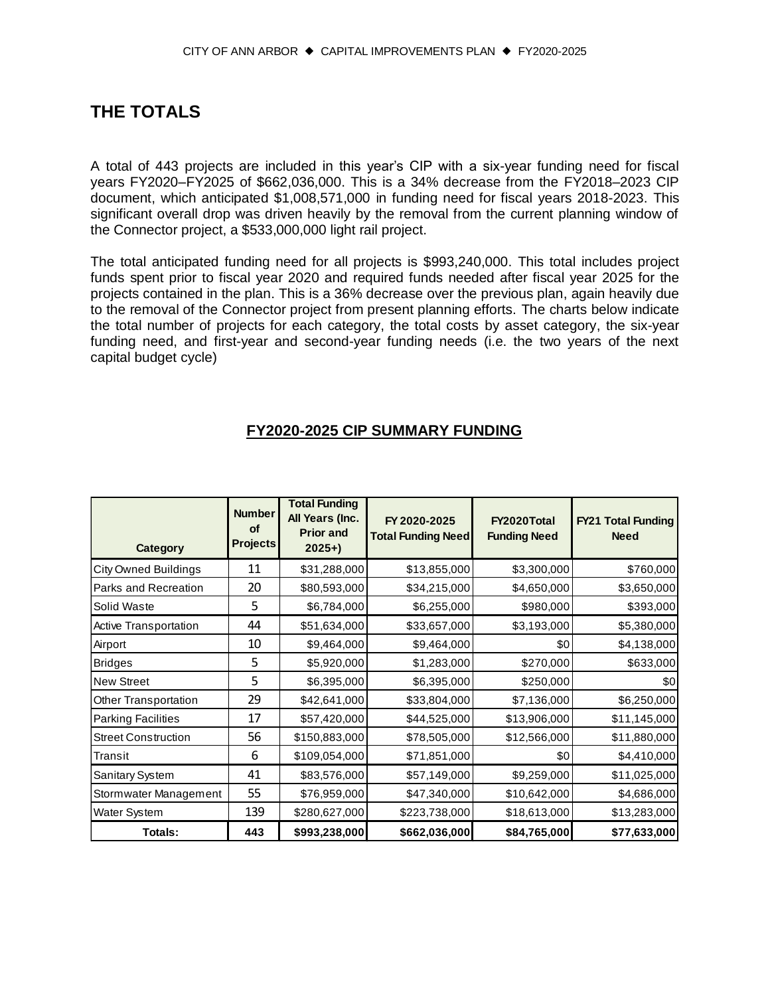#### **THE TOTALS**

A total of 443 projects are included in this year's CIP with a six-year funding need for fiscal years FY2020–FY2025 of \$662,036,000. This is a 34% decrease from the FY2018–2023 CIP document, which anticipated \$1,008,571,000 in funding need for fiscal years 2018-2023. This significant overall drop was driven heavily by the removal from the current planning window of the Connector project, a \$533,000,000 light rail project.

The total anticipated funding need for all projects is \$993,240,000. This total includes project funds spent prior to fiscal year 2020 and required funds needed after fiscal year 2025 for the projects contained in the plan. This is a 36% decrease over the previous plan, again heavily due to the removal of the Connector project from present planning efforts. The charts below indicate the total number of projects for each category, the total costs by asset category, the six-year funding need, and first-year and second-year funding needs (i.e. the two years of the next capital budget cycle)

#### **FY2020-2025 CIP SUMMARY FUNDING**

| Category                    | <b>Number</b><br><b>of</b><br><b>Projects</b> | <b>Total Funding</b><br>All Years (Inc.<br><b>Prior and</b><br>$2025+$ | FY 2020-2025<br><b>Total Funding Need</b> | FY2020Total<br><b>Funding Need</b> | <b>FY21 Total Funding</b><br><b>Need</b> |
|-----------------------------|-----------------------------------------------|------------------------------------------------------------------------|-------------------------------------------|------------------------------------|------------------------------------------|
| <b>City Owned Buildings</b> | 11                                            | \$31,288,000                                                           | \$13,855,000                              | \$3,300,000                        | \$760,000                                |
| Parks and Recreation        | 20                                            | \$80,593,000                                                           | \$34,215,000                              | \$4,650,000                        | \$3,650,000                              |
| Solid Waste                 | 5                                             | \$6,784,000                                                            | \$6,255,000                               | \$980,000                          | \$393,000                                |
| Active Transportation       | 44                                            | \$51,634,000                                                           | \$33,657,000                              | \$3,193,000                        | \$5,380,000                              |
| Airport                     | 10                                            | \$9,464,000                                                            | \$9,464,000                               | \$0                                | \$4,138,000                              |
| <b>Bridges</b>              | 5                                             | \$5,920,000                                                            | \$1,283,000                               | \$270,000                          | \$633,000                                |
| <b>New Street</b>           | 5                                             | \$6,395,000                                                            | \$6,395,000                               | \$250,000                          | \$0                                      |
| Other Transportation        | 29                                            | \$42,641,000                                                           | \$33,804,000                              | \$7,136,000                        | \$6,250,000                              |
| <b>Parking Facilities</b>   | 17                                            | \$57,420,000                                                           | \$44,525,000                              | \$13,906,000                       | \$11,145,000                             |
| <b>Street Construction</b>  | 56                                            | \$150,883,000                                                          | \$78,505,000                              | \$12,566,000                       | \$11,880,000                             |
| Transit                     | 6                                             | \$109,054,000                                                          | \$71,851,000                              | \$0                                | \$4,410,000                              |
| Sanitary System             | 41                                            | \$83,576,000                                                           | \$57,149,000                              | \$9,259,000                        | \$11,025,000                             |
| Stormwater Management       | 55                                            | \$76,959,000                                                           | \$47,340,000                              | \$10,642,000                       | \$4,686,000                              |
| <b>Water System</b>         | 139                                           | \$280,627,000                                                          | \$223,738,000                             | \$18,613,000                       | \$13,283,000                             |
| Totals:                     | 443                                           | \$993,238,000                                                          | \$662,036,000                             | \$84,765,000                       | \$77,633,000                             |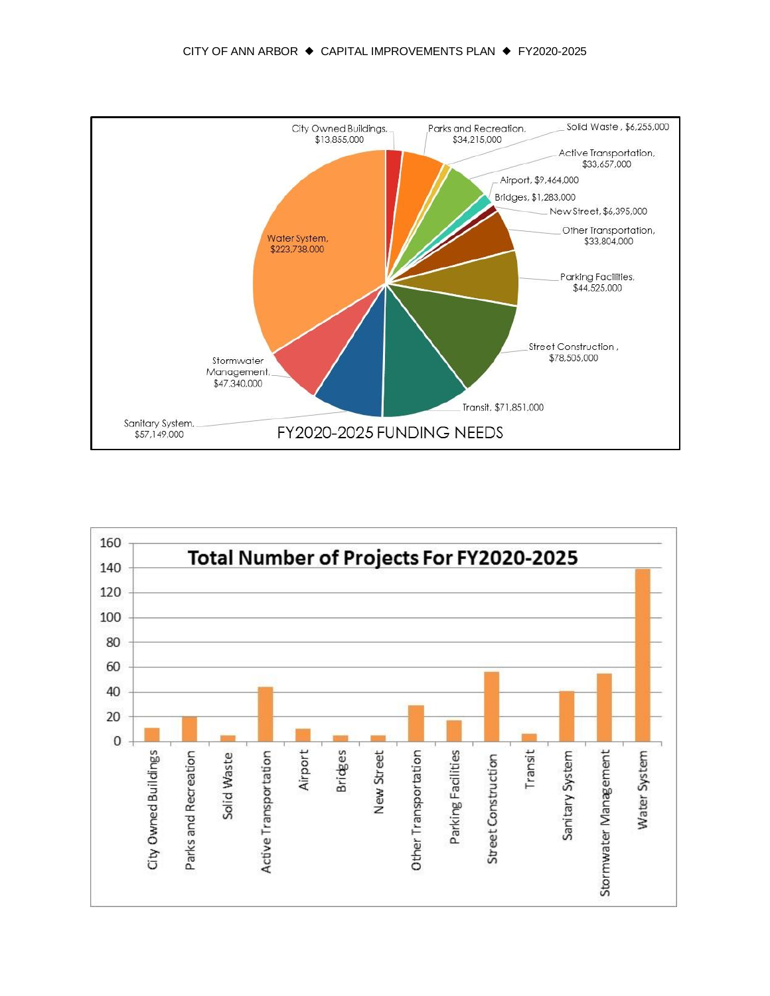

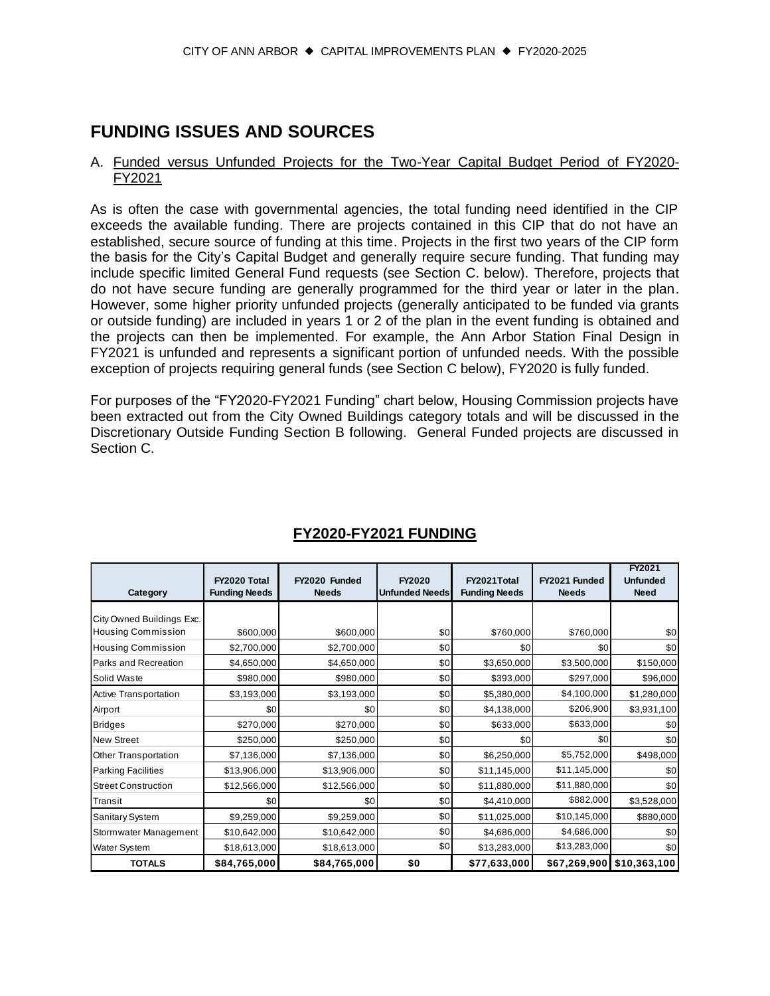## **FUNDING ISSUES AND SOURCES**

#### A. Funded versus Unfunded Projects for the Two-Year Capital Budget Period of FY2020- FY2021

As is often the case with governmental agencies, the total funding need identified in the CIP exceeds the available funding. There are projects contained in this CIP that do not have an established, secure source of funding at this time. Projects in the first two years of the CIP form the basis for the City's Capital Budget and generally require secure funding. That funding may include specific limited General Fund requests (see Section C. below). Therefore, projects that do not have secure funding are generally programmed for the third year or later in the plan. However, some higher priority unfunded projects (generally anticipated to be funded via grants or outside funding) are included in years 1 or 2 of the plan in the event funding is obtained and the projects can then be implemented. For example, the Ann Arbor Station Final Design in FY2021 is unfunded and represents a significant portion of unfunded needs. With the possible exception of projects requiring general funds (see Section C below), FY2020 is fully funded.

For purposes of the "FY2020-FY2021 Funding" chart below, Housing Commission projects have been extracted out from the City Owned Buildings category totals and will be discussed in the Discretionary Outside Funding Section B following. General Funded projects are discussed in Section C.

| Category                     | FY2020 Total<br><b>Funding Needs</b> | FY2020 Funded<br><b>Needs</b> | FY2020<br><b>Unfunded Needs</b> | FY2021Total<br><b>Funding Needs</b> | FY2021 Funded<br><b>Needs</b> | FY2021<br><b>Unfunded</b><br><b>Need</b> |
|------------------------------|--------------------------------------|-------------------------------|---------------------------------|-------------------------------------|-------------------------------|------------------------------------------|
| City Owned Buildings Exc.    |                                      |                               |                                 |                                     |                               |                                          |
| <b>Housing Commission</b>    | \$600,000                            | \$600,000                     | \$0                             | \$760,000                           | \$760,000                     | \$0                                      |
| <b>Housing Commission</b>    | \$2,700,000                          | \$2,700,000                   | \$0                             | \$0                                 | \$0                           | \$0                                      |
| Parks and Recreation         | \$4,650,000                          | \$4,650,000                   | \$0                             | \$3,650,000                         | \$3,500,000                   | \$150,000                                |
| Solid Waste                  | \$980,000                            | \$980,000                     | \$0                             | \$393,000                           | \$297,000                     | \$96,000                                 |
| <b>Active Transportation</b> | \$3,193,000                          | \$3,193,000                   | \$0                             | \$5,380,000                         | \$4,100,000                   | \$1,280,000                              |
| Airport                      | \$0                                  | \$0                           | \$0                             | \$4,138,000                         | \$206,900                     | \$3,931,100                              |
| <b>Bridges</b>               | \$270,000                            | \$270,000                     | \$0                             | \$633,000                           | \$633,000                     | \$0                                      |
| <b>New Street</b>            | \$250,000                            | \$250,000                     | \$0                             | \$0                                 | \$0                           | \$0                                      |
| Other Transportation         | \$7,136,000                          | \$7,136,000                   | \$0                             | \$6,250,000                         | \$5,752,000                   | \$498,000                                |
| <b>Parking Facilities</b>    | \$13,906,000                         | \$13,906,000                  | \$0                             | \$11,145,000                        | \$11,145,000                  | \$0                                      |
| <b>Street Construction</b>   | \$12,566,000                         | \$12,566,000                  | \$0                             | \$11,880,000                        | \$11,880,000                  | \$0                                      |
| Transit                      | \$0                                  | \$0                           | \$0                             | \$4,410,000                         | \$882,000                     | \$3,528,000                              |
| Sanitary System              | \$9,259,000                          | \$9,259,000                   | \$0                             | \$11,025,000                        | \$10,145,000                  | \$880,000                                |
| Stormwater Management        | \$10,642,000                         | \$10,642,000                  | \$0                             | \$4,686,000                         | \$4,686,000                   | \$0                                      |
| Water System                 | \$18,613,000                         | \$18,613,000                  | \$0                             | \$13,283,000                        | \$13,283,000                  | \$0                                      |
| <b>TOTALS</b>                | \$84,765,000                         | \$84,765,000                  | \$0                             | \$77,633,000                        | \$67,269,900                  | \$10,363,100                             |

#### **FY2020-FY2021 FUNDING**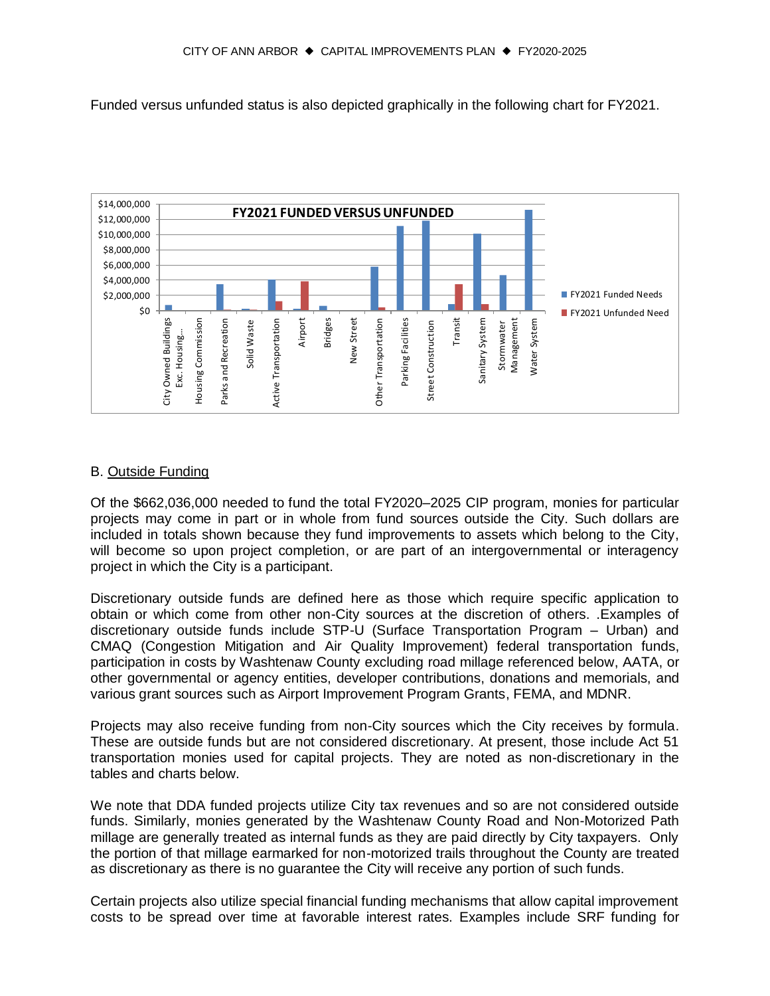Funded versus unfunded status is also depicted graphically in the following chart for FY2021.



#### B. Outside Funding

Of the \$662,036,000 needed to fund the total FY2020–2025 CIP program, monies for particular projects may come in part or in whole from fund sources outside the City. Such dollars are included in totals shown because they fund improvements to assets which belong to the City, will become so upon project completion, or are part of an intergovernmental or interagency project in which the City is a participant.

Discretionary outside funds are defined here as those which require specific application to obtain or which come from other non-City sources at the discretion of others. .Examples of discretionary outside funds include STP-U (Surface Transportation Program – Urban) and CMAQ (Congestion Mitigation and Air Quality Improvement) federal transportation funds, participation in costs by Washtenaw County excluding road millage referenced below, AATA, or other governmental or agency entities, developer contributions, donations and memorials, and various grant sources such as Airport Improvement Program Grants, FEMA, and MDNR.

Projects may also receive funding from non-City sources which the City receives by formula. These are outside funds but are not considered discretionary. At present, those include Act 51 transportation monies used for capital projects. They are noted as non-discretionary in the tables and charts below.

We note that DDA funded projects utilize City tax revenues and so are not considered outside funds. Similarly, monies generated by the Washtenaw County Road and Non-Motorized Path millage are generally treated as internal funds as they are paid directly by City taxpayers. Only the portion of that millage earmarked for non-motorized trails throughout the County are treated as discretionary as there is no guarantee the City will receive any portion of such funds.

Certain projects also utilize special financial funding mechanisms that allow capital improvement costs to be spread over time at favorable interest rates. Examples include SRF funding for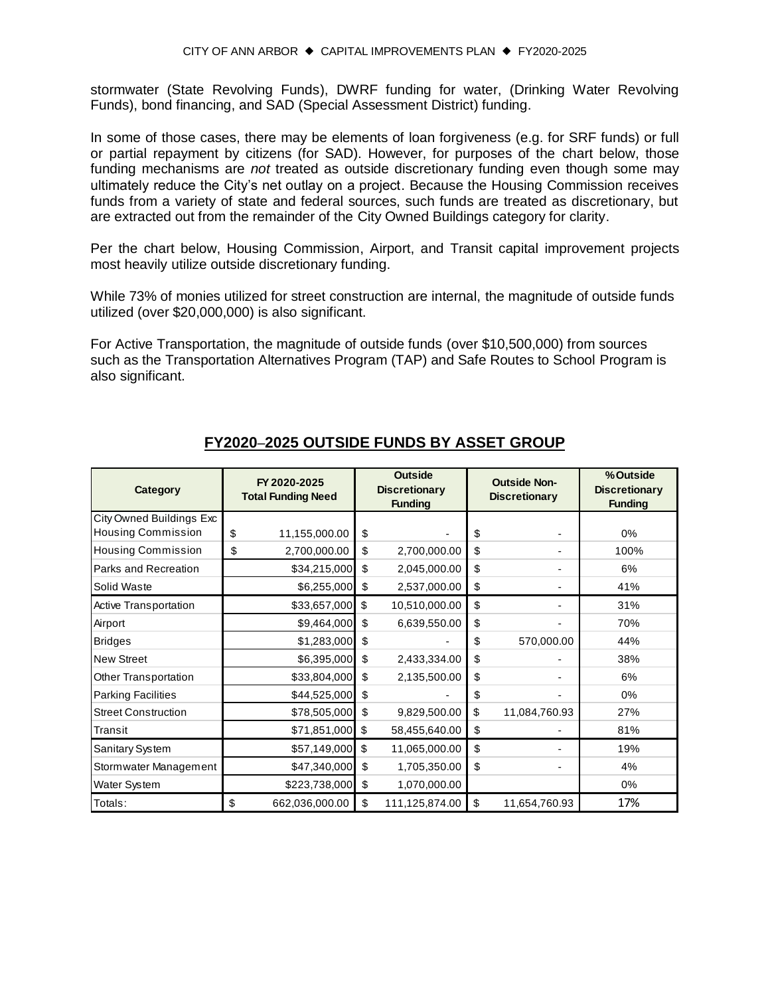stormwater (State Revolving Funds), DWRF funding for water, (Drinking Water Revolving Funds), bond financing, and SAD (Special Assessment District) funding.

In some of those cases, there may be elements of loan forgiveness (e.g. for SRF funds) or full or partial repayment by citizens (for SAD). However, for purposes of the chart below, those funding mechanisms are *not* treated as outside discretionary funding even though some may ultimately reduce the City's net outlay on a project. Because the Housing Commission receives funds from a variety of state and federal sources, such funds are treated as discretionary, but are extracted out from the remainder of the City Owned Buildings category for clarity.

Per the chart below, Housing Commission, Airport, and Transit capital improvement projects most heavily utilize outside discretionary funding.

While 73% of monies utilized for street construction are internal, the magnitude of outside funds utilized (over \$20,000,000) is also significant.

For Active Transportation, the magnitude of outside funds (over \$10,500,000) from sources such as the Transportation Alternatives Program (TAP) and Safe Routes to School Program is also significant.

| Category                        | FY 2020-2025<br><b>Total Funding Need</b> | <b>Outside</b><br><b>Discretionary</b><br><b>Funding</b> |                |    | <b>Outside Non-</b><br><b>Discretionary</b> | % Outside<br><b>Discretionary</b><br><b>Funding</b> |  |
|---------------------------------|-------------------------------------------|----------------------------------------------------------|----------------|----|---------------------------------------------|-----------------------------------------------------|--|
| <b>City Owned Buildings Exc</b> |                                           |                                                          |                |    |                                             |                                                     |  |
| <b>Housing Commission</b>       | \$<br>11,155,000.00                       | \$                                                       |                | \$ |                                             | 0%                                                  |  |
| <b>Housing Commission</b>       | \$<br>2,700,000.00                        | \$                                                       | 2,700,000.00   | \$ |                                             | 100%                                                |  |
| Parks and Recreation            | \$34,215,000                              | \$                                                       | 2,045,000.00   | \$ |                                             | 6%                                                  |  |
| Solid Waste                     | \$6,255,000                               | \$                                                       | 2,537,000.00   | \$ |                                             | 41%                                                 |  |
| Active Transportation           | \$33,657,000                              | \$                                                       | 10,510,000.00  | \$ |                                             | 31%                                                 |  |
| Airport                         | \$9,464,000                               | \$                                                       | 6,639,550.00   | \$ |                                             | 70%                                                 |  |
| <b>Bridges</b>                  | \$1,283,000                               | \$                                                       |                | \$ | 570,000.00                                  | 44%                                                 |  |
| <b>New Street</b>               | \$6,395,000                               | \$                                                       | 2,433,334.00   | \$ |                                             | 38%                                                 |  |
| Other Transportation            | \$33,804,000                              | \$                                                       | 2,135,500.00   | \$ |                                             | 6%                                                  |  |
| <b>Parking Facilities</b>       | \$44,525,000                              | \$                                                       |                | \$ |                                             | 0%                                                  |  |
| <b>Street Construction</b>      | \$78,505,000                              | \$                                                       | 9,829,500.00   | \$ | 11,084,760.93                               | 27%                                                 |  |
| Transit                         | \$71,851,000                              | \$                                                       | 58,455,640.00  | \$ |                                             | 81%                                                 |  |
| Sanitary System                 | \$57,149,000                              | \$                                                       | 11,065,000.00  | \$ |                                             | 19%                                                 |  |
| Stormwater Management           | \$47,340,000                              | \$                                                       | 1,705,350.00   | \$ |                                             | 4%                                                  |  |
| Water System                    | \$223,738,000                             | \$                                                       | 1,070,000.00   |    |                                             | $0\%$                                               |  |
| Totals:                         | \$<br>662,036,000.00                      | \$                                                       | 111,125,874.00 | \$ | 11,654,760.93                               | 17%                                                 |  |

#### **FY2020**–**2025 OUTSIDE FUNDS BY ASSET GROUP**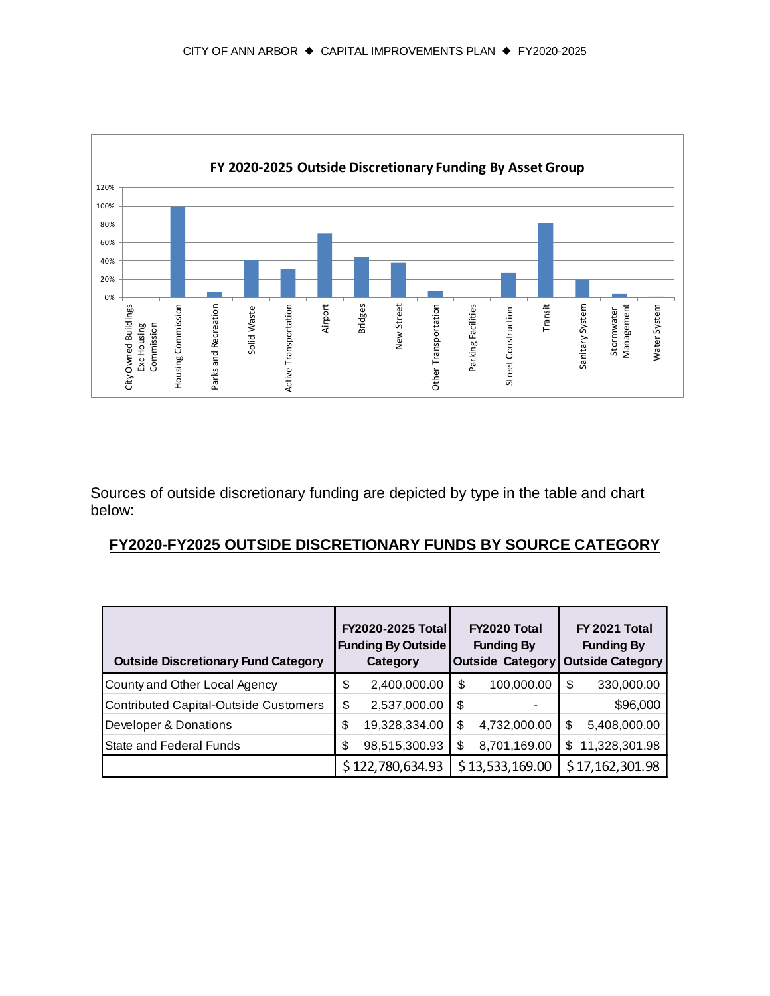

Sources of outside discretionary funding are depicted by type in the table and chart below:

#### **FY2020-FY2025 OUTSIDE DISCRETIONARY FUNDS BY SOURCE CATEGORY**

| <b>Outside Discretionary Fund Category</b>   | <b>FY2020-2025 Total</b><br><b>Funding By Outside</b><br>Category |                  | FY2020 Total<br><b>Funding By</b><br><b>Outside Category</b> |                 | FY 2021 Total<br><b>Funding By</b><br><b>Outside Category</b> |                 |
|----------------------------------------------|-------------------------------------------------------------------|------------------|--------------------------------------------------------------|-----------------|---------------------------------------------------------------|-----------------|
| County and Other Local Agency                | \$                                                                | 2,400,000.00     | \$                                                           | 100,000.00      | \$                                                            | 330,000.00      |
| <b>Contributed Capital-Outside Customers</b> | \$                                                                | 2,537,000.00     | \$                                                           |                 |                                                               | \$96,000        |
| Developer & Donations                        | \$                                                                | 19,328,334.00    | S                                                            | 4,732,000.00    | \$                                                            | 5,408,000.00    |
| State and Federal Funds                      | \$                                                                | 98,515,300.93    | \$                                                           | 8,701,169.00    | \$                                                            | 11,328,301.98   |
|                                              |                                                                   | \$122,780,634.93 |                                                              | \$13,533,169.00 |                                                               | \$17,162,301.98 |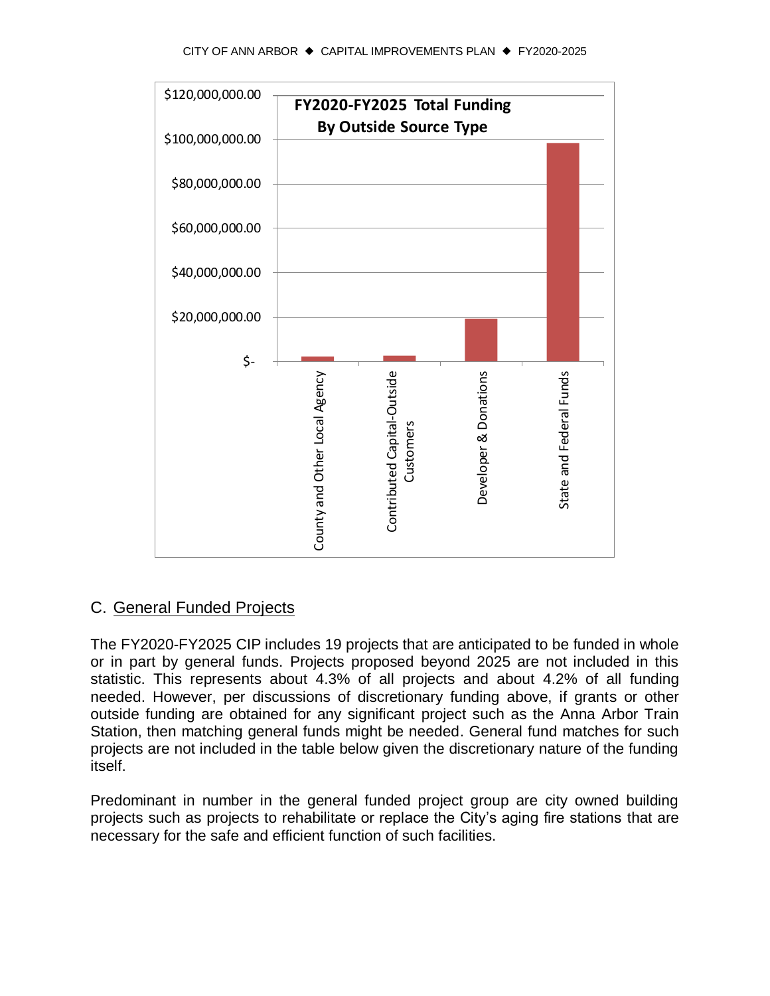

#### C. General Funded Projects

The FY2020-FY2025 CIP includes 19 projects that are anticipated to be funded in whole or in part by general funds. Projects proposed beyond 2025 are not included in this statistic. This represents about 4.3% of all projects and about 4.2% of all funding needed. However, per discussions of discretionary funding above, if grants or other outside funding are obtained for any significant project such as the Anna Arbor Train Station, then matching general funds might be needed. General fund matches for such projects are not included in the table below given the discretionary nature of the funding itself.

Predominant in number in the general funded project group are city owned building projects such as projects to rehabilitate or replace the City's aging fire stations that are necessary for the safe and efficient function of such facilities.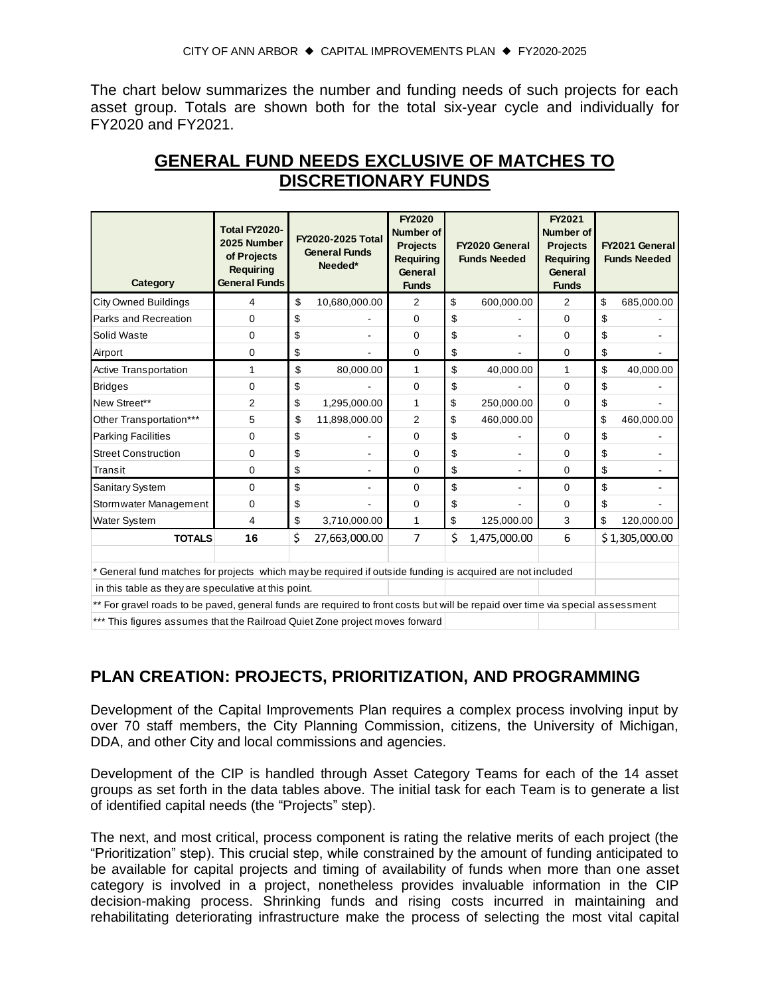The chart below summarizes the number and funding needs of such projects for each asset group. Totals are shown both for the total six-year cycle and individually for FY2020 and FY2021.

| Category                                                                                                                       | Total FY2020-<br>2025 Number<br>of Projects<br><b>Requiring</b><br><b>General Funds</b> | <b>FY2020-2025 Total</b><br><b>General Funds</b><br>Needed* |               | FY2020<br>Number of<br><b>Projects</b><br><b>Requiring</b><br>General<br><b>Funds</b> | FY2020 General<br><b>Funds Needed</b> |              | FY2021<br>Number of<br><b>Projects</b><br><b>Requiring</b><br>General<br><b>Funds</b> | FY2021 General<br><b>Funds Needed</b> |                |
|--------------------------------------------------------------------------------------------------------------------------------|-----------------------------------------------------------------------------------------|-------------------------------------------------------------|---------------|---------------------------------------------------------------------------------------|---------------------------------------|--------------|---------------------------------------------------------------------------------------|---------------------------------------|----------------|
| <b>City Owned Buildings</b>                                                                                                    | 4                                                                                       | \$                                                          | 10,680,000.00 | 2                                                                                     | \$                                    | 600,000.00   | 2                                                                                     | \$                                    | 685,000.00     |
| Parks and Recreation                                                                                                           | 0                                                                                       | \$                                                          |               | $\Omega$                                                                              | \$                                    |              | $\Omega$                                                                              | \$                                    |                |
| Solid Waste                                                                                                                    | 0                                                                                       | \$                                                          |               | $\Omega$                                                                              | \$                                    |              | $\Omega$                                                                              | \$                                    |                |
| Airport                                                                                                                        | 0                                                                                       | \$                                                          |               | $\Omega$                                                                              | \$                                    |              | $\Omega$                                                                              | \$                                    |                |
| Active Transportation                                                                                                          | 1                                                                                       | \$                                                          | 80,000.00     | 1                                                                                     | \$                                    | 40,000.00    | 1                                                                                     | \$                                    | 40,000.00      |
| <b>Bridges</b>                                                                                                                 | 0                                                                                       | \$                                                          |               | 0                                                                                     | \$                                    |              | $\mathbf 0$                                                                           | \$                                    |                |
| New Street**                                                                                                                   | 2                                                                                       | \$                                                          | 1,295,000.00  | 1                                                                                     | \$                                    | 250,000.00   | $\Omega$                                                                              | \$                                    |                |
| Other Transportation***                                                                                                        | 5                                                                                       | \$                                                          | 11,898,000.00 | 2                                                                                     | \$                                    | 460,000.00   |                                                                                       | \$                                    | 460,000.00     |
| <b>Parking Facilities</b>                                                                                                      | 0                                                                                       | \$                                                          |               | $\Omega$                                                                              | \$                                    |              | $\Omega$                                                                              | \$                                    |                |
| <b>Street Construction</b>                                                                                                     | 0                                                                                       | \$                                                          |               | 0                                                                                     | \$                                    |              | $\mathbf 0$                                                                           | \$                                    |                |
| Transit                                                                                                                        | 0                                                                                       | \$                                                          |               | 0                                                                                     | \$                                    |              | $\Omega$                                                                              | \$                                    |                |
| Sanitary System                                                                                                                | 0                                                                                       | \$                                                          |               | $\Omega$                                                                              | \$                                    |              | $\Omega$                                                                              | \$                                    |                |
| Stormwater Management                                                                                                          | 0                                                                                       | \$                                                          |               | 0                                                                                     | \$                                    |              | $\Omega$                                                                              | \$                                    |                |
| Water System                                                                                                                   | 4                                                                                       | \$                                                          | 3,710,000.00  | 1                                                                                     | \$                                    | 125,000.00   | 3                                                                                     | \$                                    | 120,000.00     |
| <b>TOTALS</b>                                                                                                                  | 16                                                                                      | \$                                                          | 27,663,000.00 | $\overline{7}$                                                                        | \$                                    | 1,475,000.00 | 6                                                                                     |                                       | \$1,305,000.00 |
| General fund matches for projects which may be required if outside funding is acquired are not included                        |                                                                                         |                                                             |               |                                                                                       |                                       |              |                                                                                       |                                       |                |
| in this table as they are speculative at this point.                                                                           |                                                                                         |                                                             |               |                                                                                       |                                       |              |                                                                                       |                                       |                |
| ** For gravel roads to be paved, general funds are required to front costs but will be repaid over time via special assessment |                                                                                         |                                                             |               |                                                                                       |                                       |              |                                                                                       |                                       |                |
| *** This figures assumes that the Railroad Quiet Zone project moves forward                                                    |                                                                                         |                                                             |               |                                                                                       |                                       |              |                                                                                       |                                       |                |

## **GENERAL FUND NEEDS EXCLUSIVE OF MATCHES TO DISCRETIONARY FUNDS**

#### **PLAN CREATION: PROJECTS, PRIORITIZATION, AND PROGRAMMING**

Development of the Capital Improvements Plan requires a complex process involving input by over 70 staff members, the City Planning Commission, citizens, the University of Michigan, DDA, and other City and local commissions and agencies.

Development of the CIP is handled through Asset Category Teams for each of the 14 asset groups as set forth in the data tables above. The initial task for each Team is to generate a list of identified capital needs (the "Projects" step).

The next, and most critical, process component is rating the relative merits of each project (the "Prioritization" step). This crucial step, while constrained by the amount of funding anticipated to be available for capital projects and timing of availability of funds when more than one asset category is involved in a project, nonetheless provides invaluable information in the CIP decision-making process. Shrinking funds and rising costs incurred in maintaining and rehabilitating deteriorating infrastructure make the process of selecting the most vital capital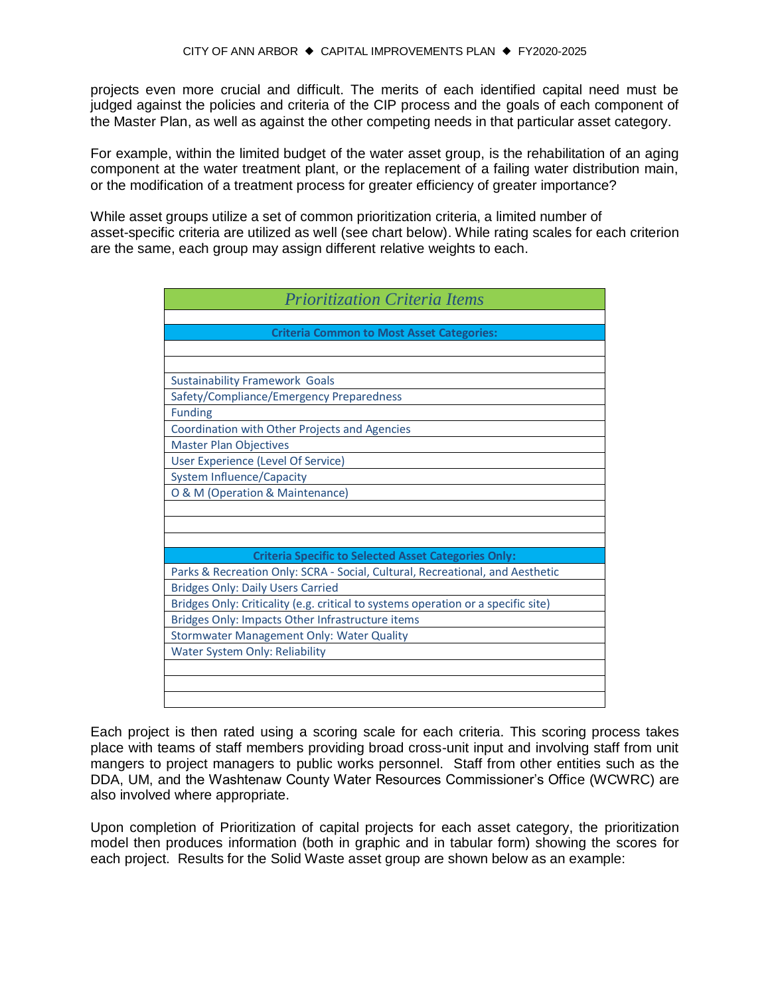projects even more crucial and difficult. The merits of each identified capital need must be judged against the policies and criteria of the CIP process and the goals of each component of the Master Plan, as well as against the other competing needs in that particular asset category.

For example, within the limited budget of the water asset group, is the rehabilitation of an aging component at the water treatment plant, or the replacement of a failing water distribution main, or the modification of a treatment process for greater efficiency of greater importance?

While asset groups utilize a set of common prioritization criteria, a limited number of asset-specific criteria are utilized as well (see chart below). While rating scales for each criterion are the same, each group may assign different relative weights to each.

| <b>Prioritization Criteria Items</b>                                              |
|-----------------------------------------------------------------------------------|
|                                                                                   |
| <b>Criteria Common to Most Asset Categories:</b>                                  |
|                                                                                   |
|                                                                                   |
| <b>Sustainability Framework Goals</b>                                             |
| Safety/Compliance/Emergency Preparedness                                          |
| <b>Funding</b>                                                                    |
| Coordination with Other Projects and Agencies                                     |
| <b>Master Plan Objectives</b>                                                     |
| User Experience (Level Of Service)                                                |
| <b>System Influence/Capacity</b>                                                  |
| O & M (Operation & Maintenance)                                                   |
|                                                                                   |
|                                                                                   |
|                                                                                   |
| <b>Criteria Specific to Selected Asset Categories Only:</b>                       |
| Parks & Recreation Only: SCRA - Social, Cultural, Recreational, and Aesthetic     |
| <b>Bridges Only: Daily Users Carried</b>                                          |
| Bridges Only: Criticality (e.g. critical to systems operation or a specific site) |
| Bridges Only: Impacts Other Infrastructure items                                  |
| Stormwater Management Only: Water Quality                                         |
| <b>Water System Only: Reliability</b>                                             |
|                                                                                   |
|                                                                                   |
|                                                                                   |

Each project is then rated using a scoring scale for each criteria. This scoring process takes place with teams of staff members providing broad cross-unit input and involving staff from unit mangers to project managers to public works personnel. Staff from other entities such as the DDA, UM, and the Washtenaw County Water Resources Commissioner's Office (WCWRC) are also involved where appropriate.

Upon completion of Prioritization of capital projects for each asset category, the prioritization model then produces information (both in graphic and in tabular form) showing the scores for each project. Results for the Solid Waste asset group are shown below as an example: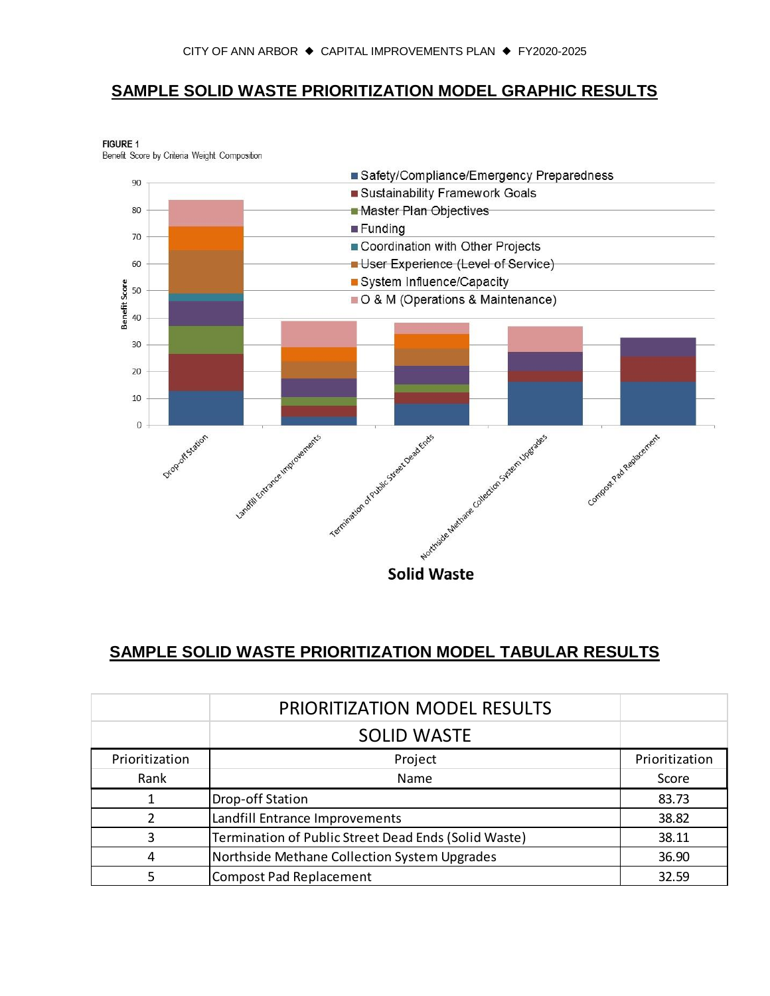#### **SAMPLE SOLID WASTE PRIORITIZATION MODEL GRAPHIC RESULTS**

**FIGURE 1** Benefit Score by Criteria Weight Composition



## **SAMPLE SOLID WASTE PRIORITIZATION MODEL TABULAR RESULTS**

|                | <b>PRIORITIZATION MODEL RESULTS</b>                  |                |
|----------------|------------------------------------------------------|----------------|
|                | <b>SOLID WASTE</b>                                   |                |
| Prioritization | Project                                              | Prioritization |
| Rank           | Name                                                 | Score          |
|                | Drop-off Station                                     | 83.73          |
|                | Landfill Entrance Improvements                       | 38.82          |
| 3              | Termination of Public Street Dead Ends (Solid Waste) | 38.11          |
| 4              | Northside Methane Collection System Upgrades         | 36.90          |
|                | <b>Compost Pad Replacement</b>                       | 32.59          |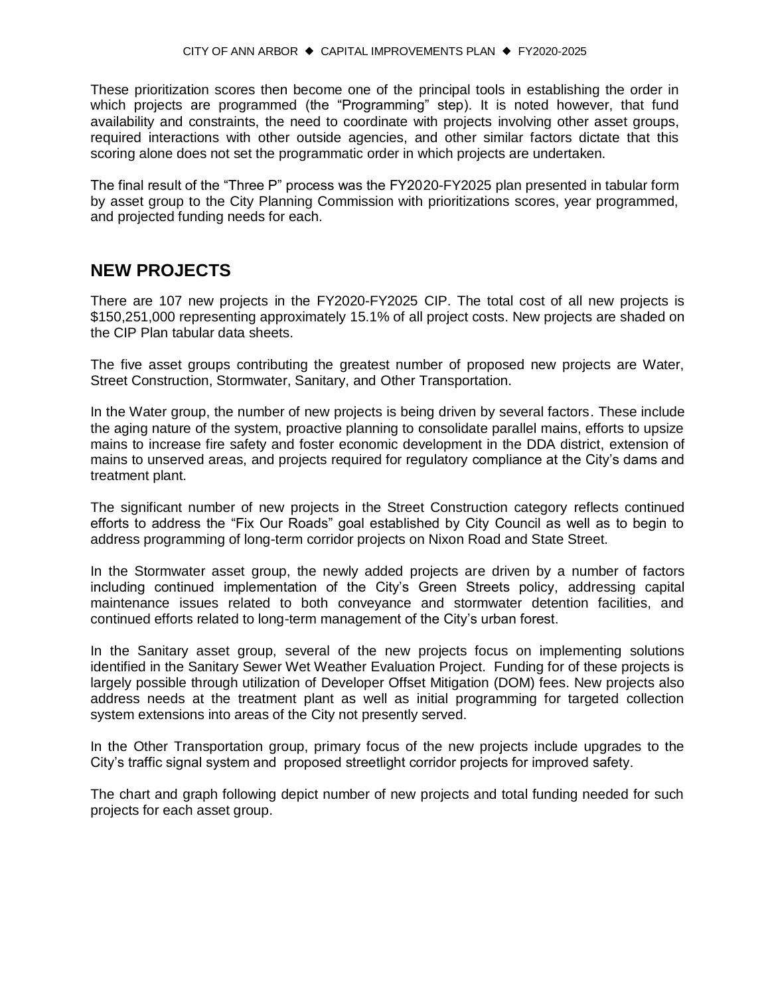These prioritization scores then become one of the principal tools in establishing the order in which projects are programmed (the "Programming" step). It is noted however, that fund availability and constraints, the need to coordinate with projects involving other asset groups, required interactions with other outside agencies, and other similar factors dictate that this scoring alone does not set the programmatic order in which projects are undertaken.

The final result of the "Three P" process was the FY2020-FY2025 plan presented in tabular form by asset group to the City Planning Commission with prioritizations scores, year programmed, and projected funding needs for each.

#### **NEW PROJECTS**

There are 107 new projects in the FY2020-FY2025 CIP. The total cost of all new projects is \$150,251,000 representing approximately 15.1% of all project costs. New projects are shaded on the CIP Plan tabular data sheets.

The five asset groups contributing the greatest number of proposed new projects are Water, Street Construction, Stormwater, Sanitary, and Other Transportation.

In the Water group, the number of new projects is being driven by several factors. These include the aging nature of the system, proactive planning to consolidate parallel mains, efforts to upsize mains to increase fire safety and foster economic development in the DDA district, extension of mains to unserved areas, and projects required for regulatory compliance at the City's dams and treatment plant.

The significant number of new projects in the Street Construction category reflects continued efforts to address the "Fix Our Roads" goal established by City Council as well as to begin to address programming of long-term corridor projects on Nixon Road and State Street.

In the Stormwater asset group, the newly added projects are driven by a number of factors including continued implementation of the City's Green Streets policy, addressing capital maintenance issues related to both conveyance and stormwater detention facilities, and continued efforts related to long-term management of the City's urban forest.

In the Sanitary asset group, several of the new projects focus on implementing solutions identified in the Sanitary Sewer Wet Weather Evaluation Project. Funding for of these projects is largely possible through utilization of Developer Offset Mitigation (DOM) fees. New projects also address needs at the treatment plant as well as initial programming for targeted collection system extensions into areas of the City not presently served.

In the Other Transportation group, primary focus of the new projects include upgrades to the City's traffic signal system and proposed streetlight corridor projects for improved safety.

The chart and graph following depict number of new projects and total funding needed for such projects for each asset group.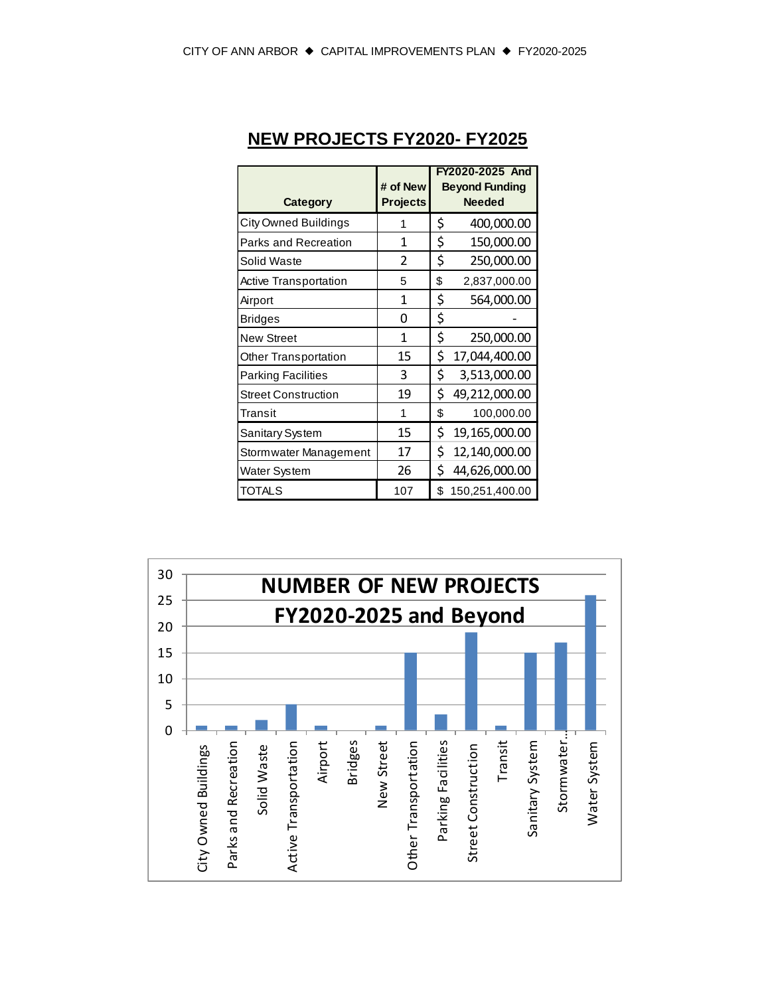| <b>Category</b>              | # of New<br><b>Projects</b> | FY2020-2025 And<br><b>Beyond Funding</b><br><b>Needed</b> |
|------------------------------|-----------------------------|-----------------------------------------------------------|
| City Owned Buildings         | 1                           | \$<br>400,000.00                                          |
| Parks and Recreation         | 1                           | \$<br>150,000.00                                          |
| Solid Waste                  | 2                           | \$<br>250,000.00                                          |
| <b>Active Transportation</b> | 5                           | \$<br>2,837,000.00                                        |
| Airport                      | 1                           | \$<br>564,000.00                                          |
| <b>Bridges</b>               | 0                           | \$                                                        |
| <b>New Street</b>            | 1                           | \$<br>250,000.00                                          |
| <b>Other Transportation</b>  | 15                          | \$<br>17,044,400.00                                       |
| <b>Parking Facilities</b>    | 3                           | \$<br>3,513,000.00                                        |
| <b>Street Construction</b>   | 19                          | \$<br>49,212,000.00                                       |
| Transit                      | 1                           | \$<br>100,000.00                                          |
| Sanitary System              | 15                          | \$<br>19,165,000.00                                       |
| Stormwater Management        | 17                          | \$<br>12,140,000.00                                       |
| Water System                 | 26                          | \$<br>44,626,000.00                                       |
| TOTALS                       | 107                         | \$<br>150,251,400.00                                      |

## **NEW PROJECTS FY2020- FY2025**